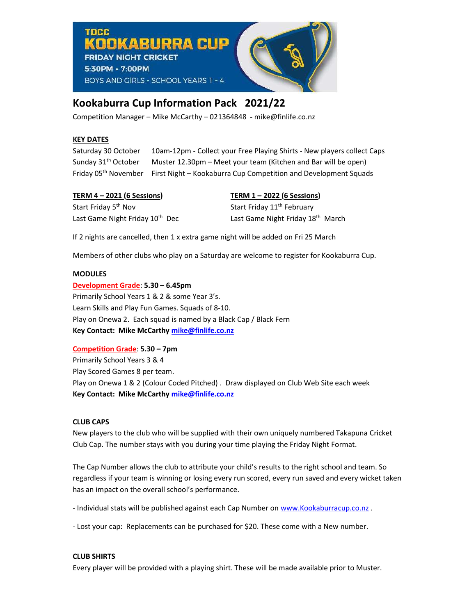OOKABURRA **CIID FRIDAY NIGHT CRICKET** 5:30PM - 7:00PM BOYS AND GIRLS - SCHOOL YEARS 1 - 4

# Kookaburra Cup Information Pack 2021/22

Competition Manager – Mike McCarthy – 021364848 - mike@finlife.co.nz

# KEY DATES

**Thee** 

Saturday 30 October 10am-12pm - Collect your Free Playing Shirts - New players collect Caps Sunday 31<sup>th</sup> October Muster 12.30pm – Meet your team (Kitchen and Bar will be open) Friday 05<sup>th</sup> November First Night – Kookaburra Cup Competition and Development Squads

| <b>TERM 4 - 2021 (6 Sessions)</b>           | TERM 1 - 2022 (6 Sessions)                    |
|---------------------------------------------|-----------------------------------------------|
| Start Friday 5 <sup>th</sup> Nov            | Start Friday 11 <sup>th</sup> February        |
| Last Game Night Friday 10 <sup>th</sup> Dec | Last Game Night Friday 18 <sup>th</sup> March |

If 2 nights are cancelled, then 1 x extra game night will be added on Fri 25 March

Members of other clubs who play on a Saturday are welcome to register for Kookaburra Cup.

## MODULES

Development Grade: 5.30 – 6.45pm Primarily School Years 1 & 2 & some Year 3's. Learn Skills and Play Fun Games. Squads of 8-10. Play on Onewa 2. Each squad is named by a Black Cap / Black Fern Key Contact: Mike McCarthy mike@finlife.co.nz

Competition Grade: 5.30 – 7pm

Primarily School Years 3 & 4 Play Scored Games 8 per team. Play on Onewa 1 & 2 (Colour Coded Pitched) . Draw displayed on Club Web Site each week Key Contact: Mike McCarthy mike@finlife.co.nz

# CLUB CAPS

New players to the club who will be supplied with their own uniquely numbered Takapuna Cricket Club Cap. The number stays with you during your time playing the Friday Night Format.

The Cap Number allows the club to attribute your child's results to the right school and team. So regardless if your team is winning or losing every run scored, every run saved and every wicket taken has an impact on the overall school's performance.

- Individual stats will be published against each Cap Number on www.Kookaburracup.co.nz.

- Lost your cap: Replacements can be purchased for \$20. These come with a New number.

### CLUB SHIRTS

Every player will be provided with a playing shirt. These will be made available prior to Muster.